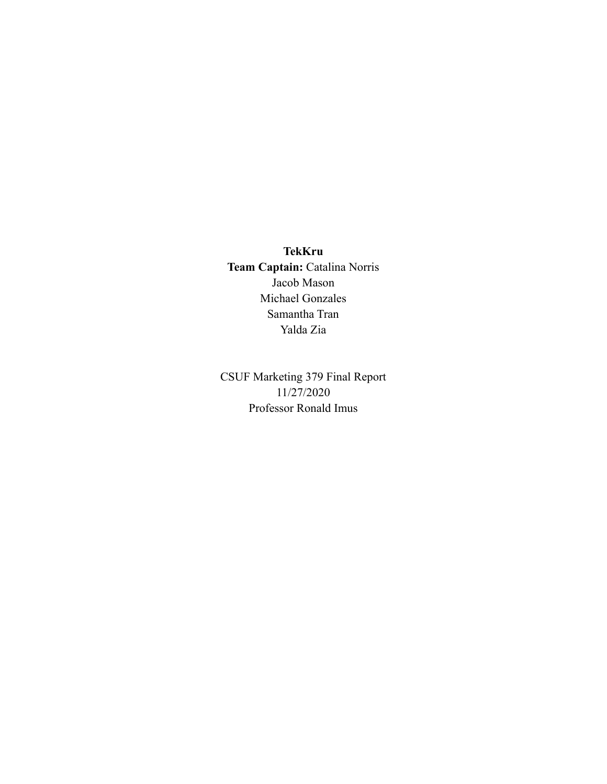**TekKru Team Captain:** Catalina Norris Jacob Mason Michael Gonzales Samantha Tran Yalda Zia

CSUF Marketing 379 Final Report 11/27/2020 Professor Ronald Imus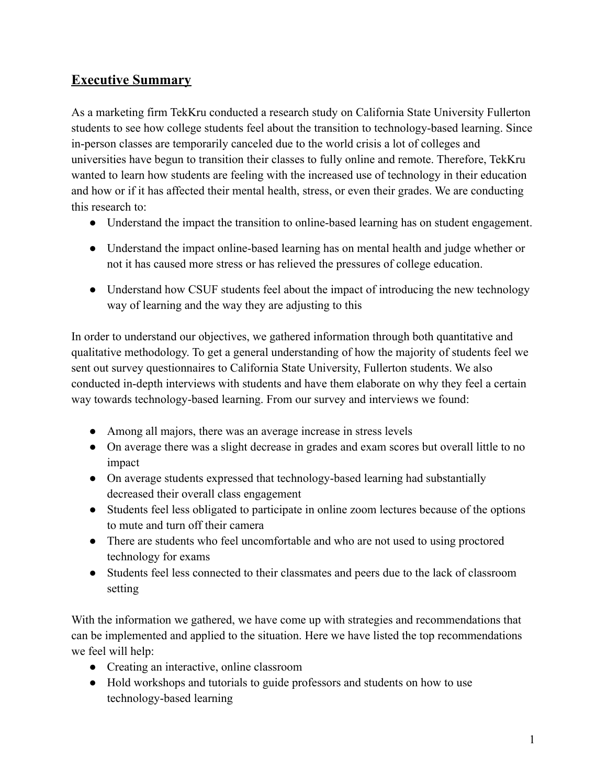# **Executive Summary**

As a marketing firm TekKru conducted a research study on California State University Fullerton students to see how college students feel about the transition to technology-based learning. Since in-person classes are temporarily canceled due to the world crisis a lot of colleges and universities have begun to transition their classes to fully online and remote. Therefore, TekKru wanted to learn how students are feeling with the increased use of technology in their education and how or if it has affected their mental health, stress, or even their grades. We are conducting this research to:

- Understand the impact the transition to online-based learning has on student engagement.
- Understand the impact online-based learning has on mental health and judge whether or not it has caused more stress or has relieved the pressures of college education.
- Understand how CSUF students feel about the impact of introducing the new technology way of learning and the way they are adjusting to this

In order to understand our objectives, we gathered information through both quantitative and qualitative methodology. To get a general understanding of how the majority of students feel we sent out survey questionnaires to California State University, Fullerton students. We also conducted in-depth interviews with students and have them elaborate on why they feel a certain way towards technology-based learning. From our survey and interviews we found:

- Among all majors, there was an average increase in stress levels
- On average there was a slight decrease in grades and exam scores but overall little to no impact
- On average students expressed that technology-based learning had substantially decreased their overall class engagement
- Students feel less obligated to participate in online zoom lectures because of the options to mute and turn off their camera
- There are students who feel uncomfortable and who are not used to using proctored technology for exams
- Students feel less connected to their classmates and peers due to the lack of classroom setting

With the information we gathered, we have come up with strategies and recommendations that can be implemented and applied to the situation. Here we have listed the top recommendations we feel will help:

- Creating an interactive, online classroom
- Hold workshops and tutorials to guide professors and students on how to use technology-based learning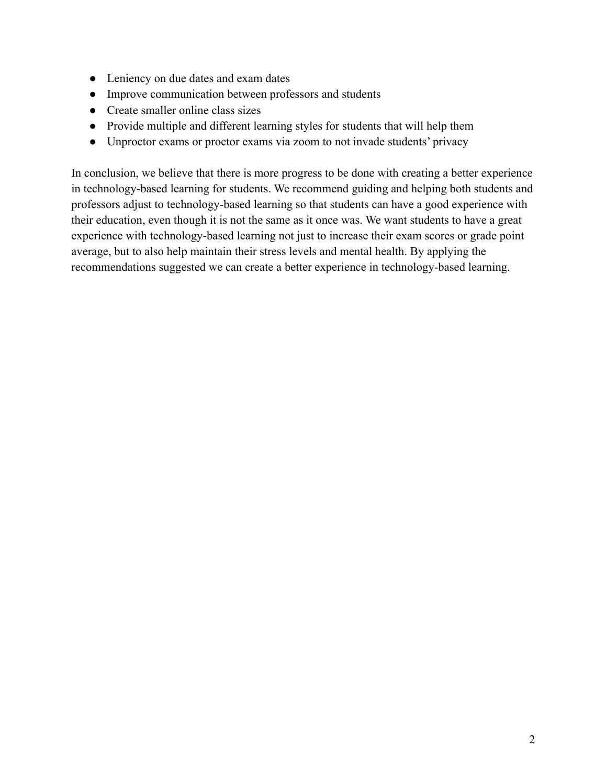- Leniency on due dates and exam dates
- Improve communication between professors and students
- Create smaller online class sizes
- Provide multiple and different learning styles for students that will help them
- Unproctor exams or proctor exams via zoom to not invade students' privacy

In conclusion, we believe that there is more progress to be done with creating a better experience in technology-based learning for students. We recommend guiding and helping both students and professors adjust to technology-based learning so that students can have a good experience with their education, even though it is not the same as it once was. We want students to have a great experience with technology-based learning not just to increase their exam scores or grade point average, but to also help maintain their stress levels and mental health. By applying the recommendations suggested we can create a better experience in technology-based learning.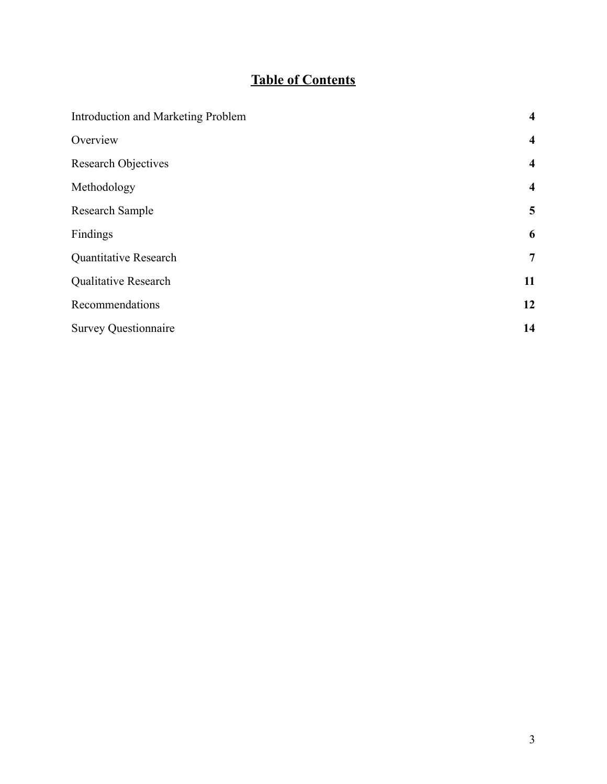# **Table of Contents**

| Introduction and Marketing Problem | $\overline{\mathbf{4}}$ |
|------------------------------------|-------------------------|
| Overview                           | $\overline{\mathbf{4}}$ |
| <b>Research Objectives</b>         | $\overline{\mathbf{4}}$ |
| Methodology                        | $\overline{\mathbf{4}}$ |
| Research Sample                    | 5                       |
| Findings                           | 6                       |
| <b>Quantitative Research</b>       | $\overline{7}$          |
| Qualitative Research               | 11                      |
| Recommendations                    | 12                      |
| <b>Survey Questionnaire</b>        | 14                      |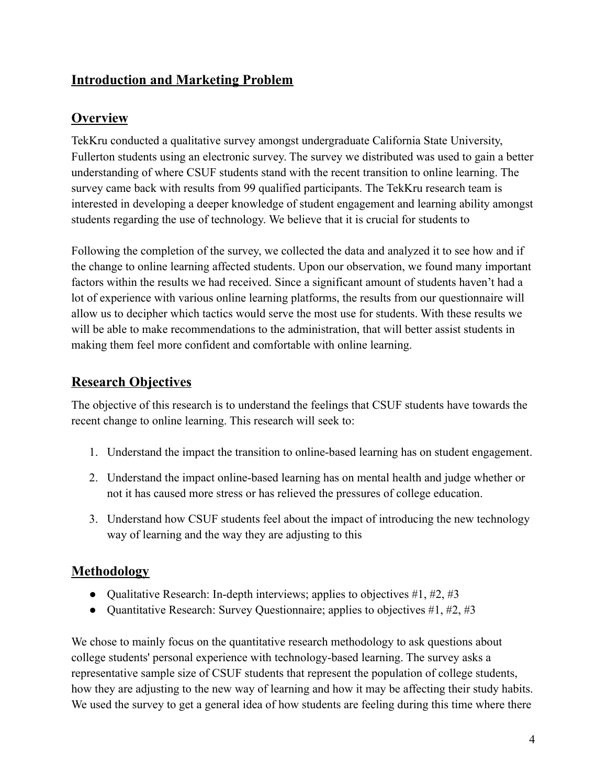# <span id="page-4-0"></span>**Introduction and Marketing Problem**

### <span id="page-4-1"></span>**Overview**

TekKru conducted a qualitative survey amongst undergraduate California State University, Fullerton students using an electronic survey. The survey we distributed was used to gain a better understanding of where CSUF students stand with the recent transition to online learning. The survey came back with results from 99 qualified participants. The TekKru research team is interested in developing a deeper knowledge of student engagement and learning ability amongst students regarding the use of technology. We believe that it is crucial for students to

Following the completion of the survey, we collected the data and analyzed it to see how and if the change to online learning affected students. Upon our observation, we found many important factors within the results we had received. Since a significant amount of students haven't had a lot of experience with various online learning platforms, the results from our questionnaire will allow us to decipher which tactics would serve the most use for students. With these results we will be able to make recommendations to the administration, that will better assist students in making them feel more confident and comfortable with online learning.

### <span id="page-4-2"></span>**Research Objectives**

The objective of this research is to understand the feelings that CSUF students have towards the recent change to online learning. This research will seek to:

- 1. Understand the impact the transition to online-based learning has on student engagement.
- 2. Understand the impact online-based learning has on mental health and judge whether or not it has caused more stress or has relieved the pressures of college education.
- 3. Understand how CSUF students feel about the impact of introducing the new technology way of learning and the way they are adjusting to this

### <span id="page-4-3"></span>**Methodology**

- Qualitative Research: In-depth interviews; applies to objectives #1, #2, #3
- Quantitative Research: Survey Questionnaire; applies to objectives  $\#1, \#2, \#3$

We chose to mainly focus on the quantitative research methodology to ask questions about college students' personal experience with technology-based learning. The survey asks a representative sample size of CSUF students that represent the population of college students, how they are adjusting to the new way of learning and how it may be affecting their study habits. We used the survey to get a general idea of how students are feeling during this time where there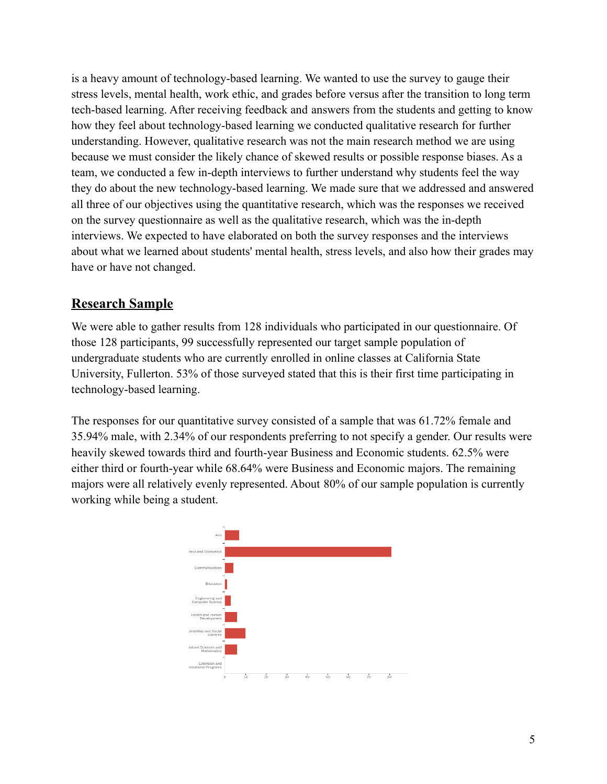is a heavy amount of technology-based learning. We wanted to use the survey to gauge their stress levels, mental health, work ethic, and grades before versus after the transition to long term tech-based learning. After receiving feedback and answers from the students and getting to know how they feel about technology-based learning we conducted qualitative research for further understanding. However, qualitative research was not the main research method we are using because we must consider the likely chance of skewed results or possible response biases. As a team, we conducted a few in-depth interviews to further understand why students feel the way they do about the new technology-based learning. We made sure that we addressed and answered all three of our objectives using the quantitative research, which was the responses we received on the survey questionnaire as well as the qualitative research, which was the in-depth interviews. We expected to have elaborated on both the survey responses and the interviews about what we learned about students' mental health, stress levels, and also how their grades may have or have not changed.

# <span id="page-5-0"></span>**Research Sample**

We were able to gather results from 128 individuals who participated in our questionnaire. Of those 128 participants, 99 successfully represented our target sample population of undergraduate students who are currently enrolled in online classes at California State University, Fullerton. 53% of those surveyed stated that this is their first time participating in technology-based learning.

The responses for our quantitative survey consisted of a sample that was 61.72% female and 35.94% male, with 2.34% of our respondents preferring to not specify a gender. Our results were heavily skewed towards third and fourth-year Business and Economic students. 62.5% were either third or fourth-year while 68.64% were Business and Economic majors. The remaining majors were all relatively evenly represented. About 80% of our sample population is currently working while being a student.

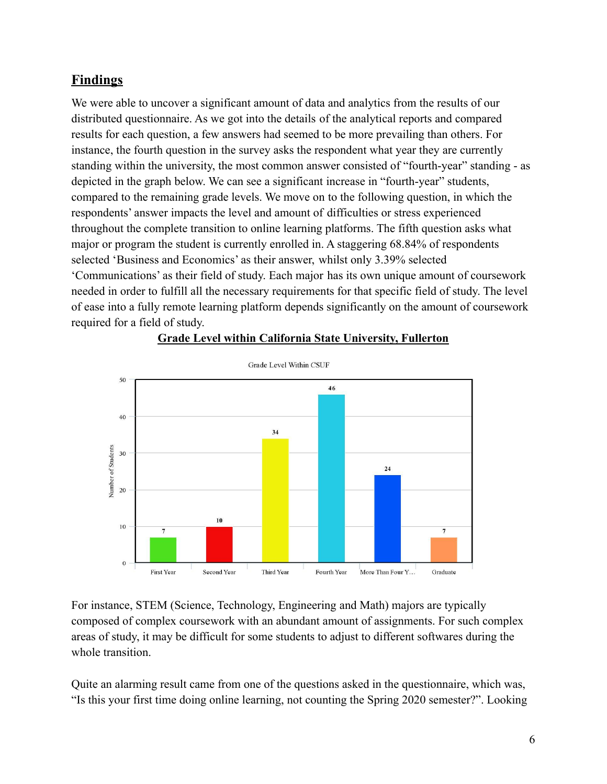### <span id="page-6-0"></span>**Findings**

We were able to uncover a significant amount of data and analytics from the results of our distributed questionnaire. As we got into the details of the analytical reports and compared results for each question, a few answers had seemed to be more prevailing than others. For instance, the fourth question in the survey asks the respondent what year they are currently standing within the university, the most common answer consisted of "fourth-year" standing - as depicted in the graph below. We can see a significant increase in "fourth-year" students, compared to the remaining grade levels. We move on to the following question, in which the respondents' answer impacts the level and amount of difficulties or stress experienced throughout the complete transition to online learning platforms. The fifth question asks what major or program the student is currently enrolled in. A staggering 68.84% of respondents selected 'Business and Economics' as their answer, whilst only 3.39% selected 'Communications' as their field of study. Each major has its own unique amount of coursework needed in order to fulfill all the necessary requirements for that specific field of study. The level of ease into a fully remote learning platform depends significantly on the amount of coursework required for a field of study.



#### **Grade Level within California State University, Fullerton**

For instance, STEM (Science, Technology, Engineering and Math) majors are typically composed of complex coursework with an abundant amount of assignments. For such complex areas of study, it may be difficult for some students to adjust to different softwares during the whole transition.

Quite an alarming result came from one of the questions asked in the questionnaire, which was, "Is this your first time doing online learning, not counting the Spring 2020 semester?". Looking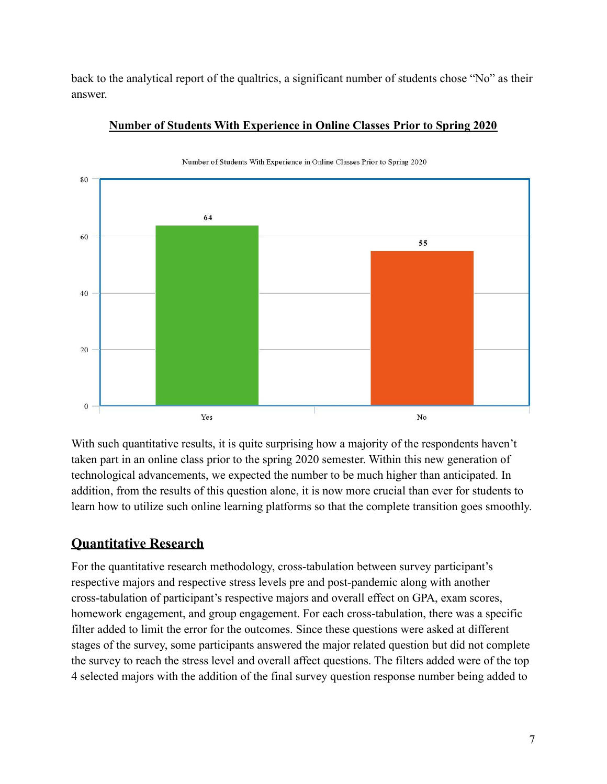back to the analytical report of the qualtrics, a significant number of students chose "No" as their answer.



**Number of Students With Experience in Online Classes Prior to Spring 2020**

With such quantitative results, it is quite surprising how a majority of the respondents haven't taken part in an online class prior to the spring 2020 semester. Within this new generation of technological advancements, we expected the number to be much higher than anticipated. In addition, from the results of this question alone, it is now more crucial than ever for students to learn how to utilize such online learning platforms so that the complete transition goes smoothly.

# <span id="page-7-0"></span>**Quantitative Research**

For the quantitative research methodology, cross-tabulation between survey participant's respective majors and respective stress levels pre and post-pandemic along with another cross-tabulation of participant's respective majors and overall effect on GPA, exam scores, homework engagement, and group engagement. For each cross-tabulation, there was a specific filter added to limit the error for the outcomes. Since these questions were asked at different stages of the survey, some participants answered the major related question but did not complete the survey to reach the stress level and overall affect questions. The filters added were of the top 4 selected majors with the addition of the final survey question response number being added to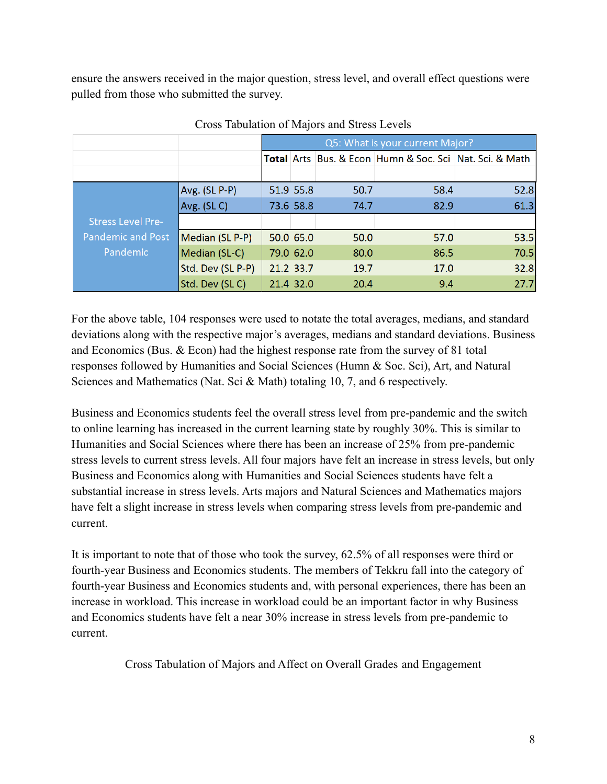ensure the answers received in the major question, stress level, and overall effect questions were pulled from those who submitted the survey.

|                          |                   | Q5: What is your current Major? |           |      |                                                         |      |  |
|--------------------------|-------------------|---------------------------------|-----------|------|---------------------------------------------------------|------|--|
|                          |                   |                                 |           |      | Total Arts Bus. & Econ Humn & Soc. Sci Nat. Sci. & Math |      |  |
|                          |                   |                                 |           |      |                                                         |      |  |
|                          | Avg. (SL P-P)     |                                 | 51.9 55.8 | 50.7 | 58.4                                                    | 52.8 |  |
|                          | Avg. (SLC)        |                                 | 73.6 58.8 | 74.7 | 82.9                                                    | 61.3 |  |
| <b>Stress Level Pre-</b> |                   |                                 |           |      |                                                         |      |  |
| <b>Pandemic and Post</b> | Median (SL P-P)   |                                 | 50.0 65.0 | 50.0 | 57.0                                                    | 53.5 |  |
| Pandemic                 | Median (SL-C)     |                                 | 79.0 62.0 | 80.0 | 86.5                                                    | 70.5 |  |
|                          | Std. Dev (SL P-P) |                                 | 21.2 33.7 | 19.7 | 17.0                                                    | 32.8 |  |
|                          | Std. Dev (SLC)    |                                 | 21.4 32.0 | 20.4 | 9.4                                                     | 27.7 |  |

Cross Tabulation of Majors and Stress Levels

For the above table, 104 responses were used to notate the total averages, medians, and standard deviations along with the respective major's averages, medians and standard deviations. Business and Economics (Bus. & Econ) had the highest response rate from the survey of 81 total responses followed by Humanities and Social Sciences (Humn & Soc. Sci), Art, and Natural Sciences and Mathematics (Nat. Sci & Math) totaling 10, 7, and 6 respectively.

Business and Economics students feel the overall stress level from pre-pandemic and the switch to online learning has increased in the current learning state by roughly 30%. This is similar to Humanities and Social Sciences where there has been an increase of 25% from pre-pandemic stress levels to current stress levels. All four majors have felt an increase in stress levels, but only Business and Economics along with Humanities and Social Sciences students have felt a substantial increase in stress levels. Arts majors and Natural Sciences and Mathematics majors have felt a slight increase in stress levels when comparing stress levels from pre-pandemic and current.

It is important to note that of those who took the survey, 62.5% of all responses were third or fourth-year Business and Economics students. The members of Tekkru fall into the category of fourth-year Business and Economics students and, with personal experiences, there has been an increase in workload. This increase in workload could be an important factor in why Business and Economics students have felt a near 30% increase in stress levels from pre-pandemic to current.

Cross Tabulation of Majors and Affect on Overall Grades and Engagement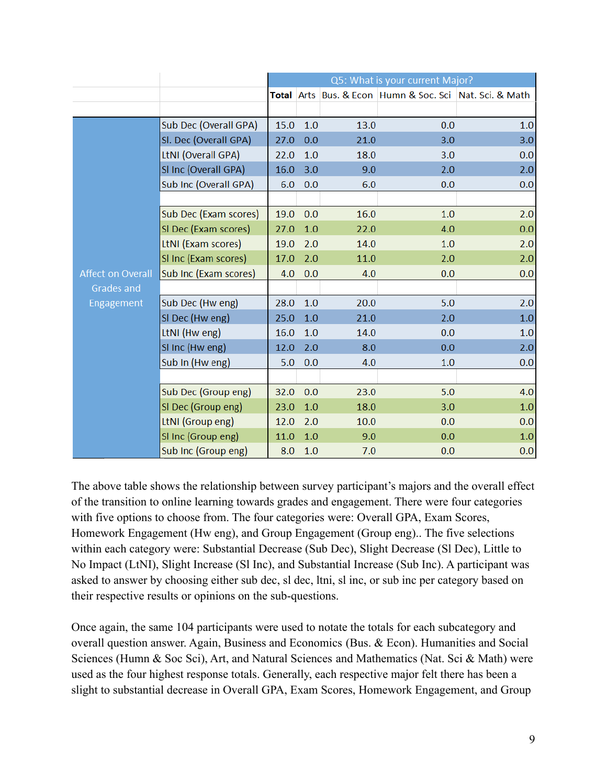|                          |                       | Q5: What is your current Major? |     |      |                                                         |     |  |
|--------------------------|-----------------------|---------------------------------|-----|------|---------------------------------------------------------|-----|--|
|                          |                       |                                 |     |      | Total Arts Bus. & Econ Humn & Soc. Sci Nat. Sci. & Math |     |  |
|                          |                       |                                 |     |      |                                                         |     |  |
|                          | Sub Dec (Overall GPA) | 15.0                            | 1.0 | 13.0 | 0.0                                                     | 1.0 |  |
|                          | Sl. Dec (Overall GPA) | 27.0                            | 0.0 | 21.0 | 3.0                                                     | 3.0 |  |
|                          | LtNI (Overall GPA)    | 22.0                            | 1.0 | 18.0 | 3.0                                                     | 0.0 |  |
|                          | SI Inc (Overall GPA)  | 16.0                            | 3.0 | 9.0  | 2.0                                                     | 2.0 |  |
|                          | Sub Inc (Overall GPA) | 6.0                             | 0.0 | 6.0  | 0.0                                                     | 0.0 |  |
|                          |                       |                                 |     |      |                                                         |     |  |
|                          | Sub Dec (Exam scores) | 19.0                            | 0.0 | 16.0 | 1.0                                                     | 2.0 |  |
|                          | SI Dec (Exam scores)  | 27.0                            | 1.0 | 22.0 | 4.0                                                     | 0.0 |  |
|                          | LtNI (Exam scores)    | 19.0                            | 2.0 | 14.0 | 1.0                                                     | 2.0 |  |
|                          | SI Inc (Exam scores)  | 17.0                            | 2.0 | 11.0 | 2.0                                                     | 2.0 |  |
| <b>Affect on Overall</b> | Sub Inc (Exam scores) | 4.0                             | 0.0 | 4.0  | 0.0                                                     | 0.0 |  |
| <b>Grades</b> and        |                       |                                 |     |      |                                                         |     |  |
| Engagement               | Sub Dec (Hw eng)      | 28.0                            | 1.0 | 20.0 | 5.0                                                     | 2.0 |  |
|                          | SI Dec (Hw eng)       | 25.0                            | 1.0 | 21.0 | 2.0                                                     | 1.0 |  |
|                          | LtNI (Hw eng)         | 16.0                            | 1.0 | 14.0 | 0.0                                                     | 1.0 |  |
|                          | SI Inc (Hw eng)       | 12.0                            | 2.0 | 8.0  | 0.0                                                     | 2.0 |  |
|                          | Sub In (Hw eng)       | 5.0                             | 0.0 | 4.0  | 1.0                                                     | 0.0 |  |
|                          |                       |                                 |     |      |                                                         |     |  |
|                          | Sub Dec (Group eng)   | 32.0                            | 0.0 | 23.0 | 5.0                                                     | 4.0 |  |
|                          | SI Dec (Group eng)    | 23.0                            | 1.0 | 18.0 | 3.0                                                     | 1.0 |  |
|                          | LtNI (Group eng)      | 12.0                            | 2.0 | 10.0 | 0.0                                                     | 0.0 |  |
|                          | SI Inc (Group eng)    | 11.0                            | 1.0 | 9.0  | 0.0                                                     | 1.0 |  |
|                          | Sub Inc (Group eng)   | 8.0                             | 1.0 | 7.0  | 0.0                                                     | 0.0 |  |

The above table shows the relationship between survey participant's majors and the overall effect of the transition to online learning towards grades and engagement. There were four categories with five options to choose from. The four categories were: Overall GPA, Exam Scores, Homework Engagement (Hw eng), and Group Engagement (Group eng).. The five selections within each category were: Substantial Decrease (Sub Dec), Slight Decrease (Sl Dec), Little to No Impact (LtNI), Slight Increase (Sl Inc), and Substantial Increase (Sub Inc). A participant was asked to answer by choosing either sub dec, sl dec, ltni, sl inc, or sub inc per category based on their respective results or opinions on the sub-questions.

Once again, the same 104 participants were used to notate the totals for each subcategory and overall question answer. Again, Business and Economics (Bus. & Econ). Humanities and Social Sciences (Humn & Soc Sci), Art, and Natural Sciences and Mathematics (Nat. Sci & Math) were used as the four highest response totals. Generally, each respective major felt there has been a slight to substantial decrease in Overall GPA, Exam Scores, Homework Engagement, and Group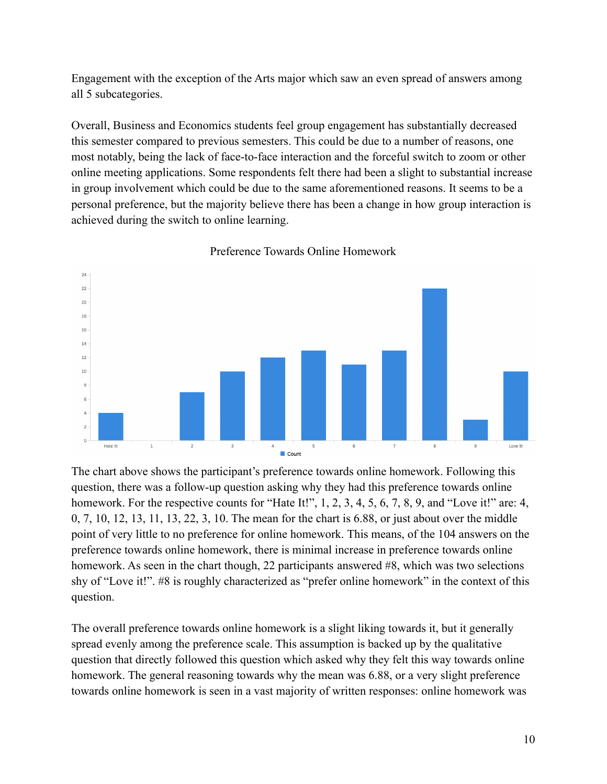Engagement with the exception of the Arts major which saw an even spread of answers among all 5 subcategories.

Overall, Business and Economics students feel group engagement has substantially decreased this semester compared to previous semesters. This could be due to a number of reasons, one most notably, being the lack of face-to-face interaction and the forceful switch to zoom or other online meeting applications. Some respondents felt there had been a slight to substantial increase in group involvement which could be due to the same aforementioned reasons. It seems to be a personal preference, but the majority believe there has been a change in how group interaction is achieved during the switch to online learning.



Preference Towards Online Homework

The chart above shows the participant's preference towards online homework. Following this question, there was a follow-up question asking why they had this preference towards online homework. For the respective counts for "Hate It!", 1, 2, 3, 4, 5, 6, 7, 8, 9, and "Love it!" are: 4, 0, 7, 10, 12, 13, 11, 13, 22, 3, 10. The mean for the chart is 6.88, or just about over the middle point of very little to no preference for online homework. This means, of the 104 answers on the preference towards online homework, there is minimal increase in preference towards online homework. As seen in the chart though, 22 participants answered #8, which was two selections shy of "Love it!". #8 is roughly characterized as "prefer online homework" in the context of this question.

The overall preference towards online homework is a slight liking towards it, but it generally spread evenly among the preference scale. This assumption is backed up by the qualitative question that directly followed this question which asked why they felt this way towards online homework. The general reasoning towards why the mean was 6.88, or a very slight preference towards online homework is seen in a vast majority of written responses: online homework was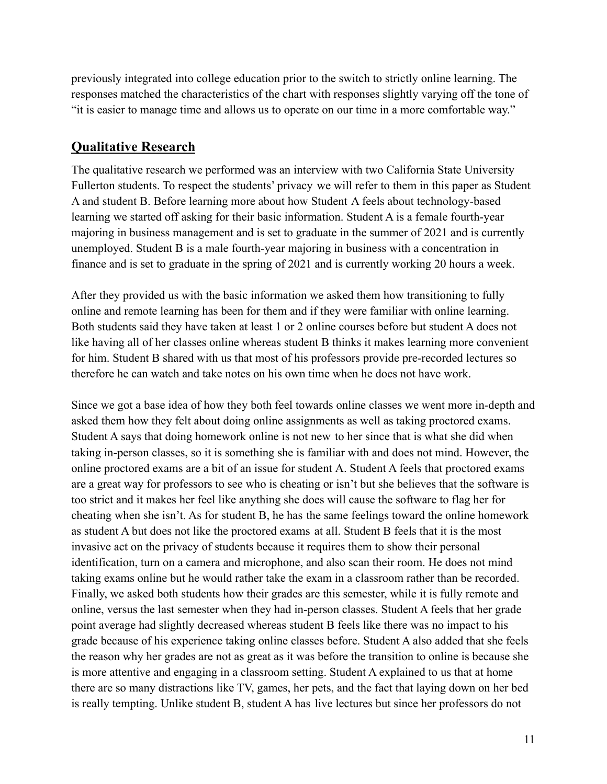previously integrated into college education prior to the switch to strictly online learning. The responses matched the characteristics of the chart with responses slightly varying off the tone of "it is easier to manage time and allows us to operate on our time in a more comfortable way."

### <span id="page-11-0"></span>**Qualitative Research**

The qualitative research we performed was an interview with two California State University Fullerton students. To respect the students' privacy we will refer to them in this paper as Student A and student B. Before learning more about how Student A feels about technology-based learning we started off asking for their basic information. Student A is a female fourth-year majoring in business management and is set to graduate in the summer of 2021 and is currently unemployed. Student B is a male fourth-year majoring in business with a concentration in finance and is set to graduate in the spring of 2021 and is currently working 20 hours a week.

After they provided us with the basic information we asked them how transitioning to fully online and remote learning has been for them and if they were familiar with online learning. Both students said they have taken at least 1 or 2 online courses before but student A does not like having all of her classes online whereas student B thinks it makes learning more convenient for him. Student B shared with us that most of his professors provide pre-recorded lectures so therefore he can watch and take notes on his own time when he does not have work.

Since we got a base idea of how they both feel towards online classes we went more in-depth and asked them how they felt about doing online assignments as well as taking proctored exams. Student A says that doing homework online is not new to her since that is what she did when taking in-person classes, so it is something she is familiar with and does not mind. However, the online proctored exams are a bit of an issue for student A. Student A feels that proctored exams are a great way for professors to see who is cheating or isn't but she believes that the software is too strict and it makes her feel like anything she does will cause the software to flag her for cheating when she isn't. As for student B, he has the same feelings toward the online homework as student A but does not like the proctored exams at all. Student B feels that it is the most invasive act on the privacy of students because it requires them to show their personal identification, turn on a camera and microphone, and also scan their room. He does not mind taking exams online but he would rather take the exam in a classroom rather than be recorded. Finally, we asked both students how their grades are this semester, while it is fully remote and online, versus the last semester when they had in-person classes. Student A feels that her grade point average had slightly decreased whereas student B feels like there was no impact to his grade because of his experience taking online classes before. Student A also added that she feels the reason why her grades are not as great as it was before the transition to online is because she is more attentive and engaging in a classroom setting. Student A explained to us that at home there are so many distractions like TV, games, her pets, and the fact that laying down on her bed is really tempting. Unlike student B, student A has live lectures but since her professors do not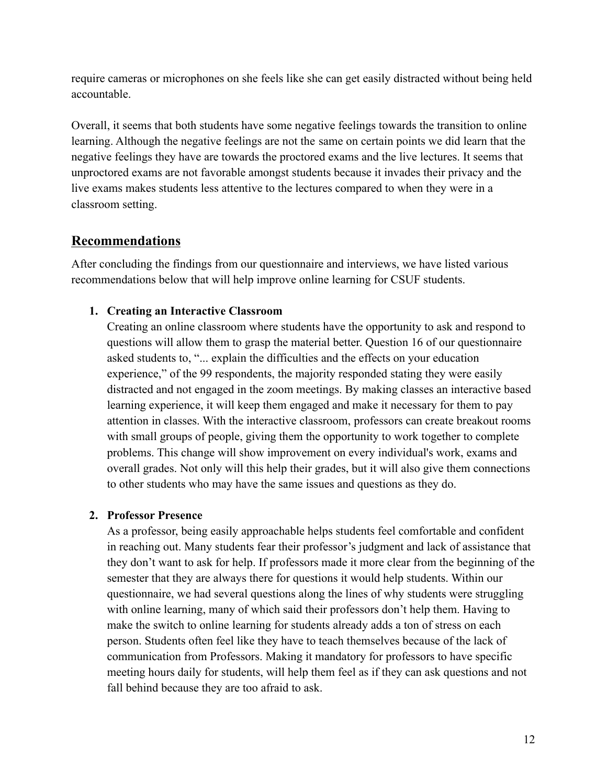require cameras or microphones on she feels like she can get easily distracted without being held accountable.

Overall, it seems that both students have some negative feelings towards the transition to online learning. Although the negative feelings are not the same on certain points we did learn that the negative feelings they have are towards the proctored exams and the live lectures. It seems that unproctored exams are not favorable amongst students because it invades their privacy and the live exams makes students less attentive to the lectures compared to when they were in a classroom setting.

# <span id="page-12-0"></span>**Recommendations**

After concluding the findings from our questionnaire and interviews, we have listed various recommendations below that will help improve online learning for CSUF students.

### **1. Creating an Interactive Classroom**

Creating an online classroom where students have the opportunity to ask and respond to questions will allow them to grasp the material better. Question 16 of our questionnaire asked students to, "... explain the difficulties and the effects on your education experience," of the 99 respondents, the majority responded stating they were easily distracted and not engaged in the zoom meetings. By making classes an interactive based learning experience, it will keep them engaged and make it necessary for them to pay attention in classes. With the interactive classroom, professors can create breakout rooms with small groups of people, giving them the opportunity to work together to complete problems. This change will show improvement on every individual's work, exams and overall grades. Not only will this help their grades, but it will also give them connections to other students who may have the same issues and questions as they do.

### **2. Professor Presence**

As a professor, being easily approachable helps students feel comfortable and confident in reaching out. Many students fear their professor's judgment and lack of assistance that they don't want to ask for help. If professors made it more clear from the beginning of the semester that they are always there for questions it would help students. Within our questionnaire, we had several questions along the lines of why students were struggling with online learning, many of which said their professors don't help them. Having to make the switch to online learning for students already adds a ton of stress on each person. Students often feel like they have to teach themselves because of the lack of communication from Professors. Making it mandatory for professors to have specific meeting hours daily for students, will help them feel as if they can ask questions and not fall behind because they are too afraid to ask.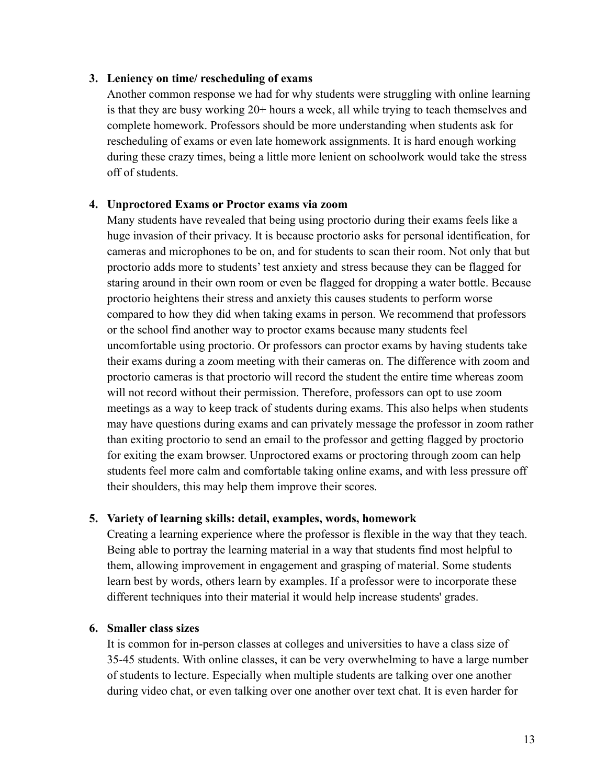#### **3. Leniency on time/ rescheduling of exams**

Another common response we had for why students were struggling with online learning is that they are busy working 20+ hours a week, all while trying to teach themselves and complete homework. Professors should be more understanding when students ask for rescheduling of exams or even late homework assignments. It is hard enough working during these crazy times, being a little more lenient on schoolwork would take the stress off of students.

#### **4. Unproctored Exams or Proctor exams via zoom**

Many students have revealed that being using proctorio during their exams feels like a huge invasion of their privacy. It is because proctorio asks for personal identification, for cameras and microphones to be on, and for students to scan their room. Not only that but proctorio adds more to students' test anxiety and stress because they can be flagged for staring around in their own room or even be flagged for dropping a water bottle. Because proctorio heightens their stress and anxiety this causes students to perform worse compared to how they did when taking exams in person. We recommend that professors or the school find another way to proctor exams because many students feel uncomfortable using proctorio. Or professors can proctor exams by having students take their exams during a zoom meeting with their cameras on. The difference with zoom and proctorio cameras is that proctorio will record the student the entire time whereas zoom will not record without their permission. Therefore, professors can opt to use zoom meetings as a way to keep track of students during exams. This also helps when students may have questions during exams and can privately message the professor in zoom rather than exiting proctorio to send an email to the professor and getting flagged by proctorio for exiting the exam browser. Unproctored exams or proctoring through zoom can help students feel more calm and comfortable taking online exams, and with less pressure off their shoulders, this may help them improve their scores.

#### **5. Variety of learning skills: detail, examples, words, homework**

Creating a learning experience where the professor is flexible in the way that they teach. Being able to portray the learning material in a way that students find most helpful to them, allowing improvement in engagement and grasping of material. Some students learn best by words, others learn by examples. If a professor were to incorporate these different techniques into their material it would help increase students' grades.

#### **6. Smaller class sizes**

It is common for in-person classes at colleges and universities to have a class size of 35-45 students. With online classes, it can be very overwhelming to have a large number of students to lecture. Especially when multiple students are talking over one another during video chat, or even talking over one another over text chat. It is even harder for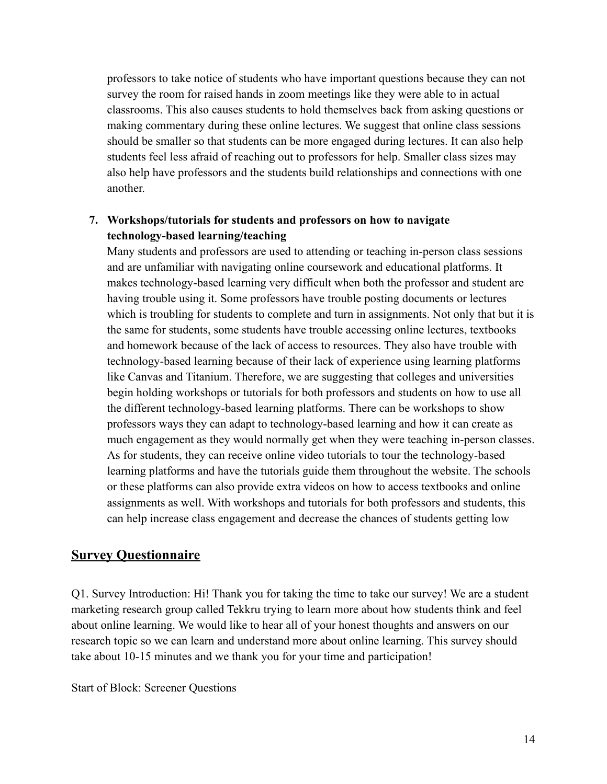professors to take notice of students who have important questions because they can not survey the room for raised hands in zoom meetings like they were able to in actual classrooms. This also causes students to hold themselves back from asking questions or making commentary during these online lectures. We suggest that online class sessions should be smaller so that students can be more engaged during lectures. It can also help students feel less afraid of reaching out to professors for help. Smaller class sizes may also help have professors and the students build relationships and connections with one another.

#### **7. Workshops/tutorials for students and professors on how to navigate technology-based learning/teaching**

Many students and professors are used to attending or teaching in-person class sessions and are unfamiliar with navigating online coursework and educational platforms. It makes technology-based learning very difficult when both the professor and student are having trouble using it. Some professors have trouble posting documents or lectures which is troubling for students to complete and turn in assignments. Not only that but it is the same for students, some students have trouble accessing online lectures, textbooks and homework because of the lack of access to resources. They also have trouble with technology-based learning because of their lack of experience using learning platforms like Canvas and Titanium. Therefore, we are suggesting that colleges and universities begin holding workshops or tutorials for both professors and students on how to use all the different technology-based learning platforms. There can be workshops to show professors ways they can adapt to technology-based learning and how it can create as much engagement as they would normally get when they were teaching in-person classes. As for students, they can receive online video tutorials to tour the technology-based learning platforms and have the tutorials guide them throughout the website. The schools or these platforms can also provide extra videos on how to access textbooks and online assignments as well. With workshops and tutorials for both professors and students, this can help increase class engagement and decrease the chances of students getting low

### **Survey Questionnaire**

Q1. Survey Introduction: Hi! Thank you for taking the time to take our survey! We are a student marketing research group called Tekkru trying to learn more about how students think and feel about online learning. We would like to hear all of your honest thoughts and answers on our research topic so we can learn and understand more about online learning. This survey should take about 10-15 minutes and we thank you for your time and participation!

Start of Block: Screener Questions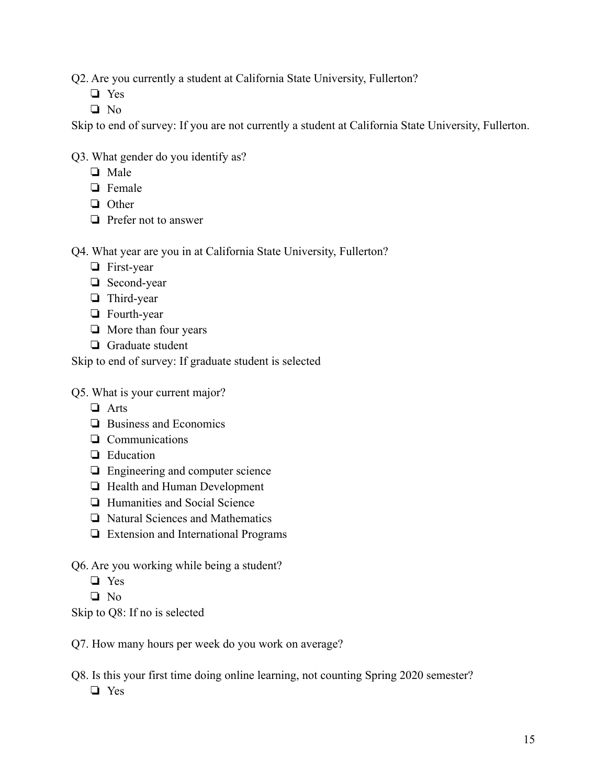Q2. Are you currently a student at California State University, Fullerton?

- ❏ Yes
- ❏ No

Skip to end of survey: If you are not currently a student at California State University, Fullerton.

Q3. What gender do you identify as?

- ❏ Male
- ❏ Female
- ❏ Other
- ❏ Prefer not to answer

Q4. What year are you in at California State University, Fullerton?

- ❏ First-year
- ❏ Second-year
- ❏ Third-year
- ❏ Fourth-year
- ❏ More than four years
- ❏ Graduate student

Skip to end of survey: If graduate student is selected

Q5. What is your current major?

- ❏ Arts
- ❏ Business and Economics
- ❏ Communications
- ❏ Education
- ❏ Engineering and computer science
- ❏ Health and Human Development
- ❏ Humanities and Social Science
- ❏ Natural Sciences and Mathematics
- ❏ Extension and International Programs
- Q6. Are you working while being a student?
	- ❏ Yes
	- ❏ No

Skip to Q8: If no is selected

- Q7. How many hours per week do you work on average?
- Q8. Is this your first time doing online learning, not counting Spring 2020 semester? ❏ Yes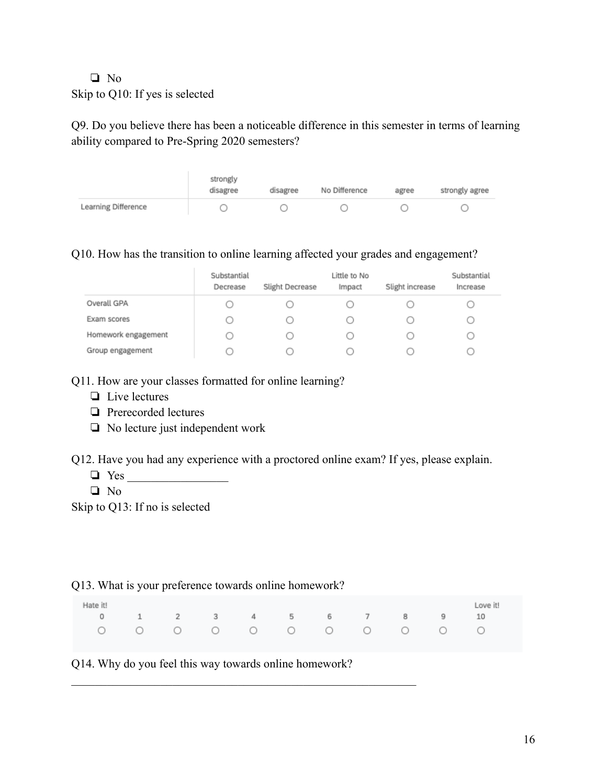#### ❏ No Skip to Q10: If yes is selected

Q9. Do you believe there has been a noticeable difference in this semester in terms of learning ability compared to Pre-Spring 2020 semesters?

|                     | strongly<br>disagree | disagree | No Difference | agree | strongly agree |
|---------------------|----------------------|----------|---------------|-------|----------------|
| Learning Difference |                      |          |               |       |                |

#### Q10. How has the transition to online learning affected your grades and engagement?

|                     | Substantial<br>Decrease | Slight Decrease | Little to No<br>Impact | Slight increase | Substantial<br>Increase |
|---------------------|-------------------------|-----------------|------------------------|-----------------|-------------------------|
| Overall GPA         | U                       |                 |                        |                 |                         |
| Exam scores         | U                       |                 |                        |                 |                         |
| Homework engagement |                         |                 |                        |                 |                         |
| Group engagement    |                         |                 |                        |                 |                         |

#### Q11. How are your classes formatted for online learning?

- ❏ Live lectures
- ❏ Prerecorded lectures
- ❏ No lecture just independent work

Q12. Have you had any experience with a proctored online exam? If yes, please explain.

- $\Box$  Yes
- ❏ No

Skip to Q13: If no is selected

#### Q13. What is your preference towards online homework?

| Hate it!               |  |  |  |  | Love it! |
|------------------------|--|--|--|--|----------|
| 0 1 2 3 4 5 6 7 8 9 10 |  |  |  |  |          |
| oooooooooooooo         |  |  |  |  |          |

Q14. Why do you feel this way towards online homework?

 $\mathcal{L}_\text{max}$  , and the contribution of the contribution of the contribution of the contribution of the contribution of the contribution of the contribution of the contribution of the contribution of the contribution of t